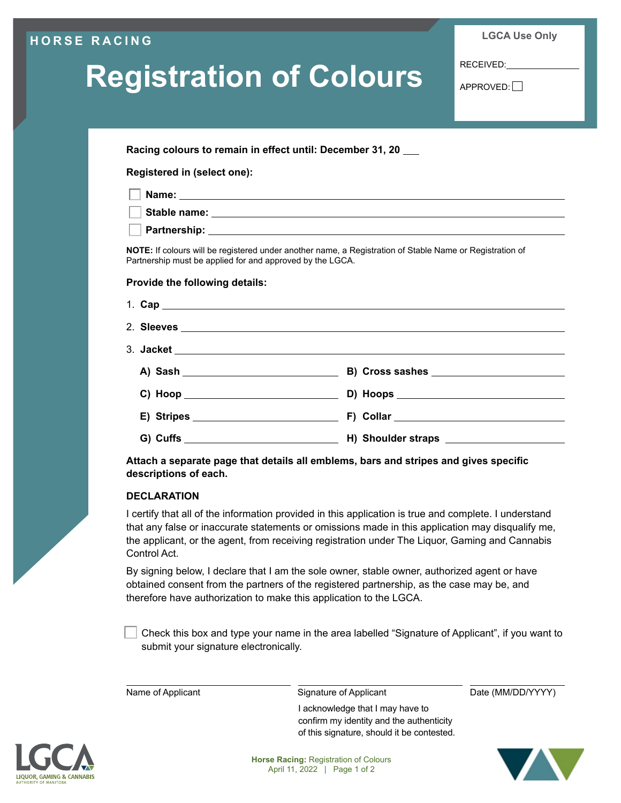### **HORSE RACING**

**LGCA Use Only**

# **Registration of Colours**

RECEIVED:

APPROVED:

**Racing colours to remain in effect until: December 31, 20**

**Registered in (select one):**

| ∣ Stable name: |  |
|----------------|--|
|                |  |

**Partnership:**

**NOTE:** If colours will be registered under another name, a Registration of Stable Name or Registration of Partnership must be applied for and approved by the LGCA.

#### **Provide the following details:**

**Attach a separate page that details all emblems, bars and stripes and gives specific descriptions of each.**

#### **DECLARATION**

I certify that all of the information provided in this application is true and complete. I understand that any false or inaccurate statements or omissions made in this application may disqualify me, the applicant, or the agent, from receiving registration under The Liquor, Gaming and Cannabis Control Act.

By signing below, I declare that I am the sole owner, stable owner, authorized agent or have obtained consent from the partners of the registered partnership, as the case may be, and therefore have authorization to make this application to the LGCA.

 Check this box and type your name in the area labelled "Signature of Applicant", if you want to submit your signature electronically.

Name of Applicant Signature of Applicant Date (MM/DD/YYYY)

I acknowledge that I may have to confirm my identity and the authenticity of this signature, should it be contested.



**Horse Racing:** Registration of Colours April 11, 2022 | Page 1 of 2